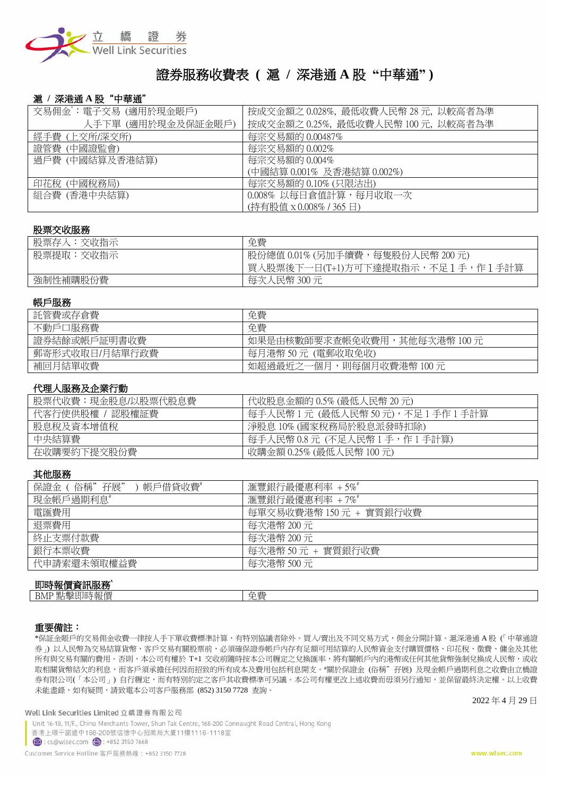

# 證券服務收費表 **(** 滬 **/** 深港通 **A** 股 **"**中華通**" )**

## 滬 **/** 深港通 **A** 股"中華通"

| 交易佣金゙:電子交易 (適用於現金賬戶) | 按成交金額之 0.028%, 最低收費人民幣 28 元, 以較高者為準 |
|----------------------|-------------------------------------|
| 人手下單 (適用於現金及保証金賬戶)   | 按成交金額之 0.25%, 最低收費人民幣 100 元, 以較高者為準 |
| 經手費 (上交所/深交所)        | 每宗交易額的 0.00487%                     |
| 證管費 (中國證監會)          | 每宗交易額的 0.002%                       |
| 過戶費 (中國結算及香港結算)      | 每宗交易額的 0.004%                       |
|                      | (中國結算 0.001% 及香港結算 0.002%)          |
| 印花稅 (中國稅務局)          | 每宗交易額的 0.10% (只限沽出)                 |
| 組合費 (香港中央結算)         | 0.008% 以每日倉值計算,每月收取一次               |
|                      | (持有股值 x 0.008% / 365 日)             |

#### 股票交收服務

| 股票存入:交收指示 | 免費                                    |
|-----------|---------------------------------------|
| 股票提取:交收指示 | 股份總值 0.01% (另加手續費,每隻股份人民幣 200 元)      |
|           | 冒<br>《人股票後下一日(T+1)方可下達提取指示,不足1手,作1手計算 |
| 強制性補購股份費  | 每次人民幣 300 元                           |

#### 帳戶服務

| 託管費或存倉費        | 免費                           |
|----------------|------------------------------|
| 不動戶口服務費        | 免費                           |
| 證券結餘或帳戶証明書收費   | 如果是由核數師要求查帳免收費用,其他每次港幣 100 元 |
| 郵寄形式收取日/月結單行政費 | 每月港幣50元(電郵收取免收)              |
| 補回月結單收費        | 如超過最近之一個月,則每個月收費港幣 100 元     |

## 代理人服務及企業行動

| 股票代收費:現金股息/以股票代股息費 | 代收股息金額的 0.5% (最低人民幣 20元)       |
|--------------------|--------------------------------|
| 代客行使供股權 / 認股權証費    | 每手人民幣1元(最低人民幣 50 元),不足1手作1手計算  |
| 股息稅及資本增值稅          | 淨股息 10% (國家稅務局於股息派發時扣除)        |
| 中央結算費              | 每手人民幣 0.8 元(不足人民幣 1 手,作 1 手計算) |
| 在收購要約下提交股份費        | 收購金額 0.25% (最低人民幣 100 元)       |

### 其他服務

| 保證金 ( 俗稱"孖展"<br>帳戶借貸收費* | 滙豐銀行最優惠利率 +5%#          |
|-------------------------|-------------------------|
| 現金帳戶過期利息*               | 滙豐銀行最優惠利率 +7%           |
| 電匯費用                    | 每單交易收費港幣 150 元 + 實質銀行收費 |
| 退票費用                    | 每次港幣 200 元              |
| 終止支票付款費                 | 每次港幣 200 元              |
| 銀行本票收費                  | 每次港幣 50 元 + 實質銀行收費      |
| 代申請索還未領取權益費             | 每次港幣 500 元              |
|                         |                         |

## 即時報價資訊服務^

| ---------------                          |           |
|------------------------------------------|-----------|
| 一冊<br><b>BMI</b><br>₩<br><b>LY</b><br>伙医 | 子生<br>ルース |
|                                          |           |
|                                          |           |

### 重要備註:

\*保証金賬戶的交易佣金收費一律按人手下單收費標準計算,有特別協議者除外。買入/賣出及不同交易方式,佣金分開計算。滬深港通 A 股 (「中華通證 券」) 以人民幣為交易結算貨幣,客戶交易有關股票前,必須確保證券帳戶內存有足額可用結算的人民幣資金支付購買價格、印花稅、徵費、傭金及其他 所有與交易有關的費用。否則,本公司有權於 T+1 交收前隨時按本公司糎定之兌換匯率,將有關帳戶內的港幣或任何其他貨幣強制兌換成人民幣,或收 取相關貨幣結欠的利息,而客戶須承擔任何因而招致的所有成本及費用包括利息開支。#關於保證金 (俗稱"孖展) 及現金帳戶過期利息之收費由立橋證 券有限公司(「本公司」) 自行糎定,而有特別約定之客戶其收費標準可另議。本公司有權更改上述收費而毋須另行通知,並保留最終決定權。以上收費 未能盡錄,如有疑問,請致電本公司客戶服務部 (852) 3150 7728 查詢。

Well Link Securities Limited 立橋證券有限公司

Unit 16-18, 11/F., China Merchants Tower, Shun Tak Centre, 168-200 Connaught Road Central, Hong Kong

香港上環干諾道中168-200號信德中心招商局大廈11樓1116-1118室

■ : cs@wlsec.com ● : +852 3150 7668

Customer Service Hotline 客戶服務熱線: +852 3150 7728

2022 年 4 月 29 日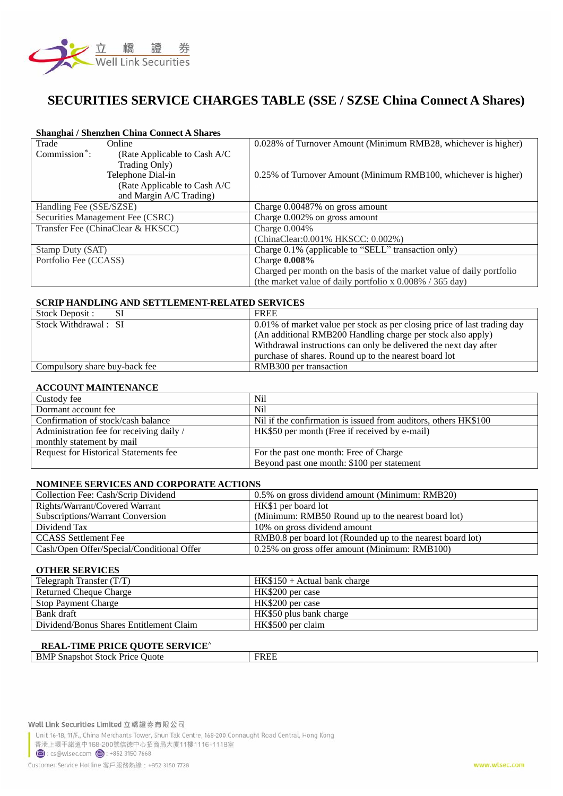

# **SECURITIES SERVICE CHARGES TABLE (SSE / SZSE China Connect A Shares)**

### **Shanghai / Shenzhen China Connect A Shares**

| Trade                     | Online                            | 0.028% of Turnover Amount (Minimum RMB28, whichever is higher)        |
|---------------------------|-----------------------------------|-----------------------------------------------------------------------|
| Commission <sup>*</sup> : | (Rate Applicable to Cash A/C)     |                                                                       |
|                           | Trading Only)                     |                                                                       |
|                           | Telephone Dial-in                 | 0.25% of Turnover Amount (Minimum RMB100, whichever is higher)        |
|                           | (Rate Applicable to Cash A/C)     |                                                                       |
|                           | and Margin A/C Trading)           |                                                                       |
| Handling Fee (SSE/SZSE)   |                                   | Charge 0.00487% on gross amount                                       |
|                           | Securities Management Fee (CSRC)  | Charge 0.002% on gross amount                                         |
|                           | Transfer Fee (ChinaClear & HKSCC) | Charge $0.004\%$                                                      |
|                           |                                   | (ChinaClear: 0.001% HKSCC: 0.002%)                                    |
| Stamp Duty (SAT)          |                                   | Charge 0.1% (applicable to "SELL" transaction only)                   |
| Portfolio Fee (CCASS)     |                                   | Charge 0.008%                                                         |
|                           |                                   | Charged per month on the basis of the market value of daily portfolio |
|                           |                                   | (the market value of daily portfolio x $0.008\%$ / 365 day)           |

### **SCRIP HANDLING AND SETTLEMENT-RELATED SERVICES**

| Stock Deposit :               | <b>FREE</b>                                                              |
|-------------------------------|--------------------------------------------------------------------------|
| Stock Withdrawal: SI          | 0.01% of market value per stock as per closing price of last trading day |
|                               | (An additional RMB200 Handling charge per stock also apply)              |
|                               | Withdrawal instructions can only be delivered the next day after         |
|                               | purchase of shares. Round up to the nearest board lot                    |
| Compulsory share buy-back fee | RMB300 per transaction                                                   |

## **ACCOUNT MAINTENANCE**

| Custody fee                                  | Ni1                                                             |
|----------------------------------------------|-----------------------------------------------------------------|
| Dormant account fee                          | Ni1                                                             |
| Confirmation of stock/cash balance           | Nil if the confirmation is issued from auditors, others HK\$100 |
| Administration fee for receiving daily /     | HK\$50 per month (Free if received by e-mail)                   |
| monthly statement by mail                    |                                                                 |
| <b>Request for Historical Statements fee</b> | For the past one month: Free of Charge                          |
|                                              | Beyond past one month: \$100 per statement                      |

## **NOMINEE SERVICES AND CORPORATE ACTIONS**

| Collection Fee: Cash/Scrip Dividend       | 0.5% on gross dividend amount (Minimum: RMB20)             |
|-------------------------------------------|------------------------------------------------------------|
| Rights/Warrant/Covered Warrant            | HK\$1 per board lot                                        |
| Subscriptions/Warrant Conversion          | (Minimum: RMB50 Round up to the nearest board lot)         |
| Dividend Tax                              | 10% on gross dividend amount                               |
| <b>CCASS</b> Settlement Fee               | RMB0.8 per board lot (Rounded up to the nearest board lot) |
| Cash/Open Offer/Special/Conditional Offer | 0.25% on gross offer amount (Minimum: RMB100)              |

### **OTHER SERVICES**

| Telegraph Transfer $(T/T)$              | $HK$150 + Actual bank charge$ |
|-----------------------------------------|-------------------------------|
| <b>Returned Cheque Charge</b>           | HK\$200 per case              |
| <b>Stop Payment Charge</b>              | HK\$200 per case              |
| Bank draft                              | HK\$50 plus bank charge       |
| Dividend/Bonus Shares Entitlement Claim | HK\$500 per claim             |

## **REAL-TIME PRICE QUOTE SERVICE^**

| <b>BM</b><br>Juote<br>Snapshot<br>энек<br>. | EDEL |
|---------------------------------------------|------|
|                                             |      |

Unit 16-18, 11/F., China Merchants Tower, Shun Tak Centre, 168-200 Connaught Road Central, Hong Kong

香港上環干諾道中168-200號信德中心招商局大廈11樓1116-1118室

cs@wlsec.com ( : +852 3150 7668

Customer Service Hotline 客戶服務熱線: +852 3150 7728